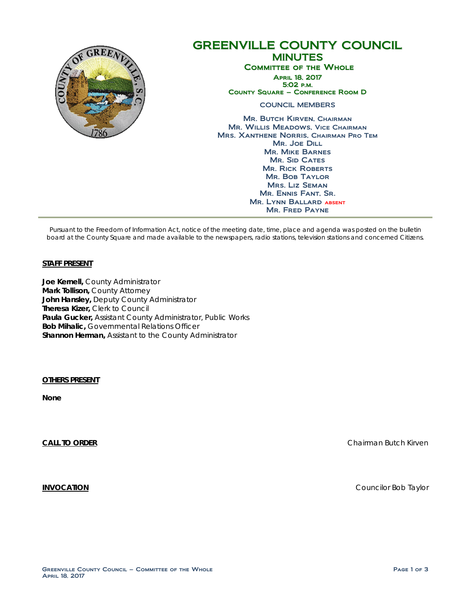

# GREENVILLE COUNTY COUNCIL MINUTES Committee of the Whole April 18, 2017 5:02 p.m. County Square – Conference Room D COUNCIL MEMBERS **MR. BUTCH KIRVEN, CHAIRMAN** Mr. Willis Meadows, Vice Chairman Mrs. Xanthene Norris, Chairman Pro Tem Mr. Joe Dill

Mr. Mike Barnes MR. SID CATES **MR. RICK ROBERTS** Mr. Bob Taylor Mrs. Liz Seman Mr. Ennis Fant, Sr. Mr. Lynn Ballard absent Mr. Fred Payne

Pursuant to the Freedom of Information Act, notice of the meeting date, time, place and agenda was posted on the bulletin board at the County Square and made available to the newspapers, radio stations, television stations and concerned Citizens.

### **STAFF PRESENT**

**Joe Kernell,** County Administrator **Mark Tollison,** County Attorney **John Hansley,** Deputy County Administrator **Theresa Kizer,** Clerk to Council **Paula Gucker,** Assistant County Administrator, Public Works **Bob Mihalic,** Governmental Relations Officer **Shannon Herman,** Assistant to the County Administrator

**OTHERS PRESENT** 

**None**

**CALL TO ORDER** CHAIRMAN BUTCH CHAIRMAN BUTCH CHAIRMAN BUTCH CHAIRMAN BUTCH CHAIRMAN BUTCH CHAIRMAN BUTCH CHAIRMAN BUTCH CHAIRMAN BUTCH CHAIRMAN BUTCH CHAIRMAN BUTCH CHAIRMAN BUTCH CHAIRMAN BUTCH CHAIRMAN BUTCH CHAIRMAN BU

**INVOCATION** COUNCILITY OF A REPORT OF A REPORT OF A REPORT OF A REPORT OF A REPORT OF A REPORT OF A REPORT OF A REPORT OF A REPORT OF A REPORT OF A REPORT OF A REPORT OF A REPORT OF A REPORT OF A REPORT OF A REPORT OF A R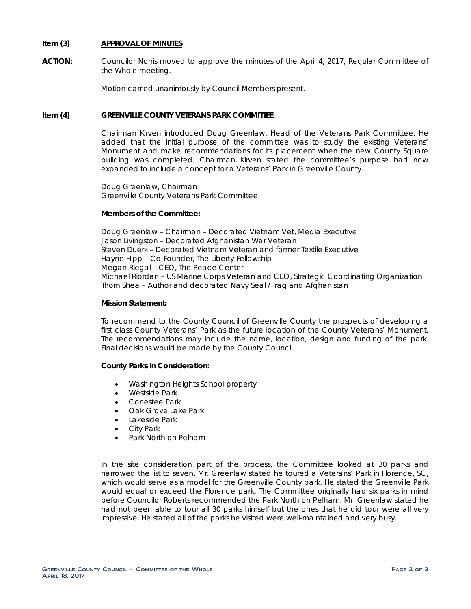## **Item (3) APPROVAL OF MINUTES**

**ACTION:** Councilor Norris moved to approve the minutes of the April 4, 2017, Regular Committee of the Whole meeting.

Motion carried unanimously by Council Members present.

#### **Item (4) GREENVILLE COUNTY VETERANS PARK COMMITTEE**

Chairman Kirven introduced Doug Greenlaw, Head of the Veterans Park Committee. He added that the initial purpose of the committee was to study the existing Veterans' Monument and make recommendations for its placement when the new County Square building was completed. Chairman Kirven stated the committee's purpose had now expanded to include a concept for a Veterans' Park in Greenville County.

Doug Greenlaw, Chairman Greenville County Veterans Park Committee

#### **Members of the Committee:**

Doug Greenlaw – Chairman – Decorated Vietnam Vet, Media Executive Jason Livingston – Decorated Afghanistan War Veteran Steven Duerk – Decorated Vietnam Veteran and former Textile Executive Hayne Hipp – Co-Founder, The Liberty Fellowship Megan Riegal – CEO, The Peace Center Michael Riordan – US Marine Corps Veteran and CEO, Strategic Coordinating Organization Thorn Shea – Author and decorated Navy Seal / Iraq and Afghanistan

#### **Mission Statement:**

To recommend to the County Council of Greenville County the prospects of developing a first class County Veterans' Park as the future location of the County Veterans' Monument. The recommendations may include the name, location, design and funding of the park. Final decisions would be made by the County Council.

### **County Parks in Consideration:**

- Washington Heights School property
- Westside Park
- Conestee Park
- Oak Grove Lake Park
- Lakeside Park
- **City Park**
- Park North on Pelham

In the site consideration part of the process, the Committee looked at 30 parks and narrowed the list to seven. Mr. Greenlaw stated he toured a Veterans' Park in Florence, SC, which would serve as a model for the Greenville County park. He stated the Greenville Park would equal or exceed the Florence park. The Committee originally had six parks in mind before Councilor Roberts recommended the Park North on Pelham. Mr. Greenlaw stated he had not been able to tour all 30 parks himself but the ones that he did tour were all very impressive. He stated all of the parks he visited were well-maintained and very busy.